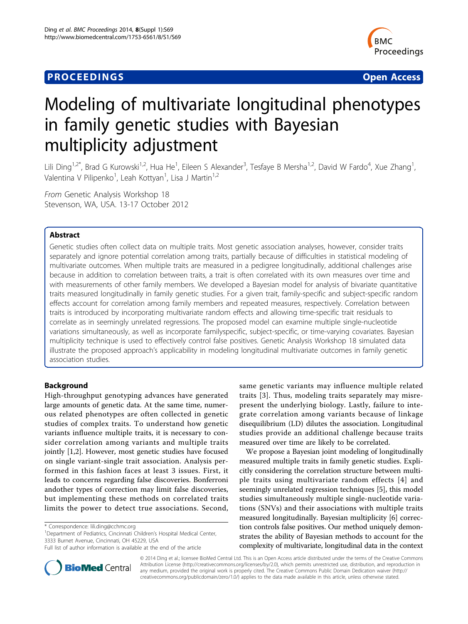# **PROCEEDINGS STATE SERVICE SERVICE SERVICE SERVICE SERVICE SERVICE SERVICE SERVICE SERVICE SERVICE SERVICE SERVICE SERVICE SERVICE SERVICE SERVICE SERVICE SERVICE SERVICE SERVICE SERVICE SERVICE SERVICE SERVICE SERVICE S**



# Modeling of multivariate longitudinal phenotypes in family genetic studies with Bayesian multiplicity adjustment

Lili Ding<sup>1,2\*</sup>, Brad G Kurowski<sup>1,2</sup>, Hua He<sup>1</sup>, Eileen S Alexander<sup>3</sup>, Tesfaye B Mersha<sup>1,2</sup>, David W Fardo<sup>4</sup>, Xue Zhang<sup>1</sup> , Valentina V Pilipenko<sup>1</sup>, Leah Kottyan<sup>1</sup>, Lisa J Martin<sup>1,2</sup>

From Genetic Analysis Workshop 18 Stevenson, WA, USA. 13-17 October 2012

# Abstract

Genetic studies often collect data on multiple traits. Most genetic association analyses, however, consider traits separately and ignore potential correlation among traits, partially because of difficulties in statistical modeling of multivariate outcomes. When multiple traits are measured in a pedigree longitudinally, additional challenges arise because in addition to correlation between traits, a trait is often correlated with its own measures over time and with measurements of other family members. We developed a Bayesian model for analysis of bivariate quantitative traits measured longitudinally in family genetic studies. For a given trait, family-specific and subject-specific random effects account for correlation among family members and repeated measures, respectively. Correlation between traits is introduced by incorporating multivariate random effects and allowing time-specific trait residuals to correlate as in seemingly unrelated regressions. The proposed model can examine multiple single-nucleotide variations simultaneously, as well as incorporate familyspecific, subject-specific, or time-varying covariates. Bayesian multiplicity technique is used to effectively control false positives. Genetic Analysis Workshop 18 simulated data illustrate the proposed approach's applicability in modeling longitudinal multivariate outcomes in family genetic association studies.

# Background

High-throughput genotyping advances have generated large amounts of genetic data. At the same time, numerous related phenotypes are often collected in genetic studies of complex traits. To understand how genetic variants influence multiple traits, it is necessary to consider correlation among variants and multiple traits jointly [[1,2\]](#page-4-0). However, most genetic studies have focused on single variant-single trait association. Analysis performed in this fashion faces at least 3 issues. First, it leads to concerns regarding false discoveries. Bonferroni andother types of correction may limit false discoveries, but implementing these methods on correlated traits limits the power to detect true associations. Second,

<sup>1</sup>Department of Pediatrics, Cincinnati Children's Hospital Medical Center, 3333 Burnet Avenue, Cincinnati, OH 45229, USA

same genetic variants may influence multiple related traits [[3\]](#page-4-0). Thus, modeling traits separately may misrepresent the underlying biology. Lastly, failure to integrate correlation among variants because of linkage disequilibrium (LD) dilutes the association. Longitudinal studies provide an additional challenge because traits measured over time are likely to be correlated.

We propose a Bayesian joint modeling of longitudinally measured multiple traits in family genetic studies. Explicitly considering the correlation structure between multiple traits using multivariate random effects [[4](#page-4-0)] and seemingly unrelated regression techniques [[5\]](#page-4-0), this model studies simultaneously multiple single-nucleotide variations (SNVs) and their associations with multiple traits measured longitudinally. Bayesian multiplicity [\[6](#page-4-0)] correction controls false positives. Our method uniquely demonstrates the ability of Bayesian methods to account for the complexity of multivariate, longitudinal data in the context



© 2014 Ding et al.; licensee BioMed Central Ltd. This is an Open Access article distributed under the terms of the Creative Commons Attribution License [\(http://creativecommons.org/licenses/by/2.0](http://creativecommons.org/licenses/by/2.0)), which permits unrestricted use, distribution, and reproduction in any medium, provided the original work is properly cited. The Creative Commons Public Domain Dedication waiver [\(http://](http://creativecommons.org/publicdomain/zero/1.0/) [creativecommons.org/publicdomain/zero/1.0/](http://creativecommons.org/publicdomain/zero/1.0/)) applies to the data made available in this article, unless otherwise stated.

<sup>\*</sup> Correspondence: [lili.ding@cchmc.org](mailto:lili.ding@cchmc.org)

Full list of author information is available at the end of the article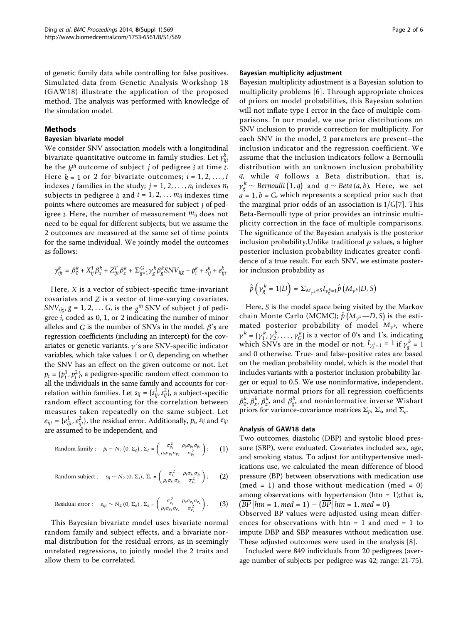of genetic family data while controlling for false positives. Simulated data from Genetic Analysis Workshop 18 (GAW18) illustrate the application of the proposed method. The analysis was performed with knowledge of the simulation model.

# Methods

## Bayesian bivariate model

We consider SNV association models with a longitudinal bivariate quantitative outcome in family studies. Let  $\gamma^k_{ijt}$ be the  $k^{th}$  outcome of subject *j* of pedigree *i* at time *t*. Here  $k = 1$  or 2 for bivariate outcomes;  $i = 1, 2, \ldots, I$ indexes *I* families in the study;  $j = 1, 2, \ldots, n_i$  indexes  $n_i$ subjects in pedigree *i*; and  $t = 1, 2, \ldots m_{ij}$  indexes time points where outcomes are measured for subject *j* of pedigree *i*. Here, the number of measurement *mij* does not need to be equal for different subjects, but we assume the 2 outcomes are measured at the same set of time points for the same individual. We jointly model the outcomes as follows:

$$
\gamma_{ijt}^k = \beta_0^k + X_{ij}^T\beta_x^k + Z_{ijt}^T\beta_z^k + \Sigma_{g=1}^G \gamma_g^k\beta_g^k \text{SNV}_{ijg} + p_i^k + s_{ij}^k + e_{ijt}^k
$$

Here, *X* is a vector of subject-specific time-invariant covariates and *Z* is a vector of time-varying covariates. *SNV*<sub>ijg</sub>,  $g = 1, 2, \ldots$  *G*, is the  $g<sup>th</sup>$  SNV of subject *j* of pedigree *i*, coded as 0, 1, or 2 indicating the number of minor alleles and  $G$  is the number of SNVs in the model.  $\beta'$ s are regression coefficients (including an intercept) for the covariates or genetic variants.  $\gamma'$ s are SNV-specific indicator variables, which take values 1 or 0, depending on whether the SNV has an effect on the given outcome or not. Let  $p_i = \{p_i^1, p_i^2\}$ , a pedigree-specific random effect common to all the individuals in the same family and accounts for correlation within families. Let  $s_{ij} = \{s_{ij}^1, s_{ij}^2\}$ , a subject-specific random effect accounting for the correlation between measures taken repeatedly on the same subject. Let  $e_{ijt} = \{e_{ijt}^1, e_{ijt}^2\}$ , the residual error. Additionally,  $p_i$ ,  $s_{ij}$  and  $e_{ijt}$ are assumed to be independent, and

Random family: 
$$
p_i \sim N_2(0, \Sigma_p), \Sigma_p = \begin{pmatrix} \sigma_{p_1}^2 & \rho_p \sigma_{p_1} \sigma_{p_2} \\ \rho_p \sigma_{p_1} \sigma_{p_2} & \sigma_{p_2}^2 \end{pmatrix};
$$
 (1)

Random subject: 
$$
s_{ij} \sim N_2(0, \Sigma_s)
$$
,  $\Sigma_s = \begin{pmatrix} \sigma_{s_1}^2 & \rho_s \sigma_{s_1} \sigma_{s_2} \\ \rho_s \sigma_{s_1} \sigma_{s_2} & \sigma_{s_2}^2 \end{pmatrix}$ ; (2)

Residual error: 
$$
e_{ijt} \sim N_2(0, \Sigma_e)
$$
,  $\Sigma_e = \begin{pmatrix} \sigma_{e_1}^2 & \rho_e \sigma_{e_1} \sigma_{e_2} \\ \rho_e \sigma_{e_1} \sigma_{e_2} & \sigma_{e_2}^2 \end{pmatrix}$ . (3)

This Bayesian bivariate model uses bivariate normal random family and subject effects, and a bivariate normal distribution for the residual errors, as in seemingly unrelated regressions, to jointly model the 2 traits and allow them to be correlated.

#### Bayesian multiplicity adjustment

Bayesian multiplicity adjustment is a Bayesian solution to multiplicity problems [[6](#page-4-0)]. Through appropriate choices of priors on model probabilities, this Bayesian solution will not inflate type I error in the face of multiple comparisons. In our model, we use prior distributions on SNV inclusion to provide correction for multiplicity. For each SNV in the model, 2 parameters are present–the inclusion indicator and the regression coefficient. We assume that the inclusion indicators follow a Bernoulli distribution with an unknown inclusion probability *q*, while *q* follows a Beta distribution, that is,  $\gamma_g^k \sim$  *Bernoulli*  $(1, q)$  and  $q \sim$  *Beta* (*a*, *b*). Here, we set  $a = 1, b = G$ , which represents a sceptical prior such that the marginal prior odds of an association is 1/*G*[[7\]](#page-5-0). This Beta-Bernoulli type of prior provides an intrinsic multiplicity correction in the face of multiple comparisons. The significance of the Bayesian analysis is the posterior inclusion probability. Unlike traditional  $p$  values, a higher posterior inclusion probability indicates greater confidence of a true result. For each SNV, we estimate posterior inclusion probability as

$$
\hat{p}\left(\gamma_g^k=1|D\right)=\Sigma_{M_{\gamma^k}\in S}I_{\gamma_g^k=1}\hat{p}\left(M_{\gamma^k}|D,S\right)
$$

Here, *S* is the model space being visited by the Markov chain Monte Carlo (MCMC);  $\hat{p}(M_{\gamma^k} - D, S)$  is the estimated posterior probability of model  $M_{\gamma^k}$ , where  $\gamma^k = {\gamma_1^k, \gamma_2^k, \ldots, \gamma_G^k}$  is a vector of 0's and 1's, indicating which SNVs are in the model or not.  $I_{\gamma_g^k=1} = 1$  if  $\gamma_g^k = 1$ and 0 otherwise. True- and false-positive rates are based on the median probability model, which is the model that includes variants with a posterior inclusion probability larger or equal to 0.5. We use noninformative, independent, univariate normal priors for all regression coefficients  $\beta^k_0$ ,  $\beta^k_x$ ,  $\beta^k_z$ , and  $\beta^k_y$ , and noninformative inverse Wishart priors for variance-covariance matrices  $\Sigma_p$ ,  $\Sigma_s$ , and  $\Sigma_e$ .

## Analysis of GAW18 data

Two outcomes, diastolic (DBP) and systolic blood pressure (SBP), were evaluated. Covariates included sex, age, and smoking status. To adjust for antihypertensive medications use, we calculated the mean difference of blood pressure (BP) between observations with medication use (med = 1) and those without medication (med = 0) among observations with hypertension (htn = 1); that is,  $(\overline{BP} | htn = 1, med = 1) - (\overline{BP} | htn = 1, med = 0).$ 

Observed BP values were adjusted using mean differences for observations with  $htn = 1$  and med = 1 to impute DBP and SBP measures without medication use. These adjusted outcomes were used in the analysis [[8\]](#page-5-0).

Included were 849 individuals from 20 pedigrees (average number of subjects per pedigree was 42; range: 21-75).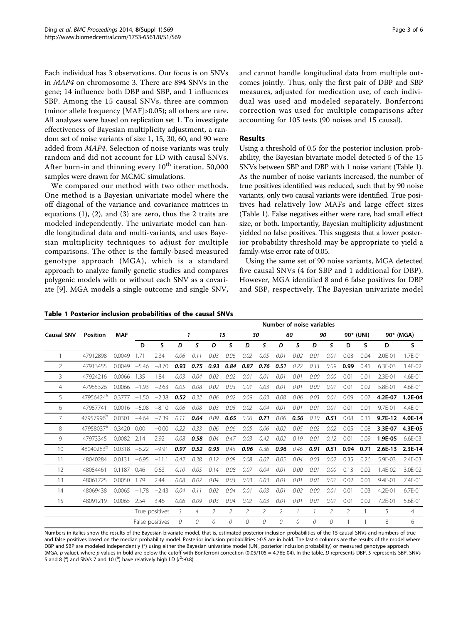Each individual has 3 observations. Our focus is on SNVs in MAP4 on chromosome 3. There are 894 SNVs in the gene; 14 influence both DBP and SBP, and 1 influences SBP. Among the 15 causal SNVs, three are common (minor allele frequency [MAF]>0.05); all others are rare. All analyses were based on replication set 1. To investigate effectiveness of Bayesian multiplicity adjustment, a random set of noise variants of size 1, 15, 30, 60, and 90 were added from MAP4. Selection of noise variants was truly random and did not account for LD with causal SNVs. After burn-in and thinning every  $10^{th}$  iteration, 50,000 samples were drawn for MCMC simulations.

We compared our method with two other methods. One method is a Bayesian univariate model where the off diagonal of the variance and covariance matrices in equations (1), (2), and (3) are zero, thus the 2 traits are modeled independently. The univariate model can handle longitudinal data and multi-variants, and uses Bayesian multiplicity techniques to adjust for multiple comparisons. The other is the family-based measured genotype approach (MGA), which is a standard approach to analyze family genetic studies and compares polygenic models with or without each SNV as a covariate [\[9](#page-5-0)]. MGA models a single outcome and single SNV,

Table 1 Posterior inclusion probabilities of the causal SNVs

| <b>Causal SNV</b> | <b>Position</b>       | <b>MAF</b>      |                 | Number of noise variables |      |                |      |      |      |      |      |               |               |      |                |      |           |             |
|-------------------|-----------------------|-----------------|-----------------|---------------------------|------|----------------|------|------|------|------|------|---------------|---------------|------|----------------|------|-----------|-------------|
|                   |                       |                 |                 |                           | 1    |                | 15   |      | 30   |      | 60   |               | 90            |      | 90* (UNI)      |      | 90* (MGA) |             |
|                   |                       |                 | D               | S                         | D    | s              | D    | S    | D    | S    | D    | S             | D             | S    | D              | S    | D         | S           |
|                   | 47912898              | 0.0049          | 1.71            | 2.34                      | 0.06 | 0.11           | 0.03 | 0.06 | 0.02 | 0.05 | 0.01 | 0.02          | 0.01          | 0.01 | 0.03           | 0.04 | 2.0E-01   | 1.7E-01     |
| $\overline{2}$    | 47913455              | 0.0049          | $-5.46$         | $-8.70$                   | 0.93 | 0.75           | 0.93 | 0.84 | 0.87 | 0.76 | 0.51 | 0.22          | 0.33          | 0.09 | 0.99           | 0.41 | 6.3E-03   | 1.4E-02     |
| 3.                | 47924216              | 0.0066          | 1.35            | 1.84                      | 0.03 | 0.04           | 0.02 | 0.02 | 0.01 | 0.01 | 0.01 | 0.01          | 0.00          | 0.00 | 0.01           | 0.01 | 2.3E-01   | 4.6E-01     |
| 4                 | 47955326              | 0.0066          | $-1.93$         | $-2.63$                   | 0.05 | 0.08           | 0.02 | 0.03 | 0.01 | 0.03 | 0.01 | 0.01          | 0.00          | 0.01 | 0.01           | 0.02 | 5.8E-01   | 4.6E-01     |
| 5.                | 47956424 <sup>a</sup> | 0.3777          | $-1.50$         | $-2.38$                   | 0.52 | 0.32           | 0.06 | 0.02 | 0.09 | 0.03 | 0.08 | 0.06          | 0.03          | 0.01 | 0.09           | 0.07 | 4.2E-07   | 1.2E-04     |
| 6.                | 47957741              | $0.0016 - 5.08$ |                 | $-8.10$                   | 0.06 | 0.08           | 0.03 | 0.05 | 0.02 | 0.04 | 0.01 | 0.01          | 0.01          | 0.01 | 0.01           | 0.01 | 9.7E-01   | 4.4E-01     |
| 7                 | 47957996 <sup>b</sup> | 0.0301          | $-4.64$         | $-7.39$                   | 0.11 | 0.64           | 0.09 | 0.65 | 0.06 | 0.71 | 0.06 | 0.56          | 0.10          | 0.51 | 0.08           | 0.31 | $9.7E-12$ | 4.0E-14     |
| 8                 | 47958037 <sup>a</sup> | 0.3420          | 0.00            | $-0.00$                   | 0.22 | 0.33           | 0.06 | 0.06 | 0.05 | 0.06 | 0.02 | 0.05          | 0.02          | 0.02 | 0.05           | 0.08 | 3.3E-07   | 4.3E-05     |
| 9                 | 47973345              | $0.0082$ $2.14$ |                 | 2.92                      | 0.08 | 0.58           | 0.04 | 0.47 | 0.03 | 0.42 | 0.02 | 0.19          | 0.01          | 0.12 | 0.01           | 0.09 | 1.9E-05   | $6.6F - 03$ |
| 10 <sup>2</sup>   | 48040283 <sup>b</sup> | $0.0318 -6.22$  |                 | $-9.91$                   | 0.97 | 0.52           | 0.95 | 0.45 | 0.96 | 0.36 | 0.96 | 0.46          | 0.91          | 0.51 | 0.94           | 0.71 | $2.6E-13$ | 2.3E-14     |
| 11                | 48040284              | 0.0131          | $-6.95$         | $-11.1$                   | 0.42 | 0.38           | 0.12 | 0.08 | 0.08 | 0.07 | 0.05 | 0.04          | 0.03          | 0.02 | 0.35           | 0.26 | 5.9E-03   | 2.4E-03     |
| 12                | 48054461              | 0.1187          | 0.46            | 0.63                      | 0.10 | 0.05           | 0.14 | 0.08 | 0.07 | 0.04 | 0.01 | 0.00          | 0.01          | 0.00 | 0.13           | 0.02 | 1.4E-02   | 3.0E-02     |
| 13                | 48061725              | 0.0050          | 1.79            | 2.44                      | 0.08 | 0.07           | 0.04 | 0.03 | 0.03 | 0.03 | 0.01 | 0.01          | 0.01          | 0.01 | 0.02           | 0.01 | 9.4E-01   | 7.4E-01     |
| 14                | 48069438              | $0.0065 - 1.78$ |                 | $-2.43$                   | 0.04 | 0.11           | 0.02 | 0.04 | 0.01 | 0.03 | 0.01 | 0.02          | 0.00          | 0.01 | 0.01           | 0.03 | 4.2E-01   | 6.7E-01     |
| 15                | 48091219              | 0.0065          | 2.54            | 3.46                      | 0.06 | 0.09           | 0.03 | 0.04 | 0.02 | 0.03 | 0.01 | 0.01          | 0.01          | 0.01 | 0.01           | 0.02 | 7.2E-01   | 5.6E-01     |
|                   |                       |                 | True positives  |                           | 3    | $\overline{4}$ | 2    | 2    | 2    | 2    | 2    | $\mathcal{I}$ | $\mathcal{I}$ | 2    | $\overline{2}$ | 1    | 5         | 4           |
|                   |                       |                 | False positives |                           | 0    | 0              | 0    | 0    | 0    | 0    | 0    | 0             | 0             | 0    |                |      | 8         | 6           |
|                   |                       |                 |                 |                           |      |                |      |      |      |      |      |               |               |      |                |      |           |             |

Numbers in italics show the results of the Bayesian bivariate model, that is, estimated posterior inclusion probabilities of the 15 causal SNVs and numbers of true and false positives based on the median probability model. Posterior inclusion probabilities ≥0.5 are in bold. The last 4 columns are the results of the model where DBP and SBP are modeled independently (\*) using either the Bayesian univariate model (UNI, posterior inclusion probability) or measured genotype approach (MGA, p value), where p values in bold are below the cutoff with Bonferroni correction (0.05/105 = 4.76E-04). In the table, D represents DBP, S represents SBP. SNVs 5 and 8 ( $^{\text{a}}$ ) and SNVs 7 and 10 ( $^{\text{b}}$ ) have relatively high LD ( $r^2 \ge 0.8$ ).

and cannot handle longitudinal data from multiple outcomes jointly. Thus, only the first pair of DBP and SBP measures, adjusted for medication use, of each individual was used and modeled separately. Bonferroni correction was used for multiple comparisons after accounting for 105 tests (90 noises and 15 causal).

# Results

Using a threshold of 0.5 for the posterior inclusion probability, the Bayesian bivariate model detected 5 of the 15 SNVs between SBP and DBP with 1 noise variant (Table 1). As the number of noise variants increased, the number of true positives identified was reduced, such that by 90 noise variants, only two causal variants were identified. True positives had relatively low MAFs and large effect sizes (Table 1). False negatives either were rare, had small effect size, or both. Importantly, Bayesian multiplicity adjustment yielded no false positives. This suggests that a lower posterior probability threshold may be appropriate to yield a family-wise error rate of 0.05.

Using the same set of 90 noise variants, MGA detected five causal SNVs (4 for SBP and 1 additional for DBP). However, MGA identified 8 and 6 false positives for DBP and SBP, respectively. The Bayesian univariate model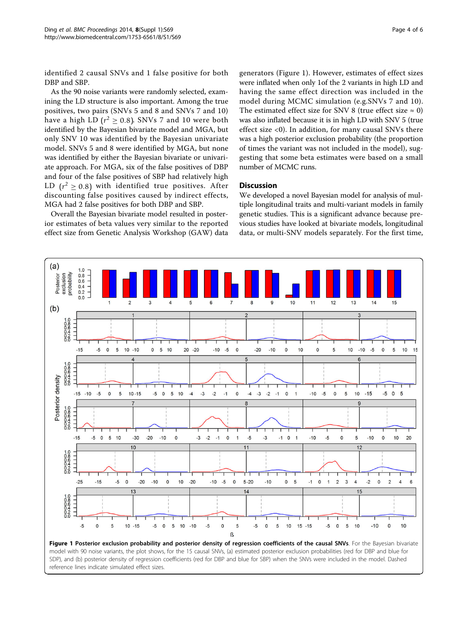identified 2 causal SNVs and 1 false positive for both DBP and SBP.

As the 90 noise variants were randomly selected, examining the LD structure is also important. Among the true positives, two pairs (SNVs 5 and 8 and SNVs 7 and 10) have a high LD  $(r^2 \ge 0.8)$ . SNVs 7 and 10 were both identified by the Bayesian bivariate model and MGA, but only SNV 10 was identified by the Bayesian univariate model. SNVs 5 and 8 were identified by MGA, but none was identified by either the Bayesian bivariate or univariate approach. For MGA, six of the false positives of DBP and four of the false positives of SBP had relatively high LD  $(r^2 \ge 0.8)$  with identified true positives. After discounting false positives caused by indirect effects, MGA had 2 false positives for both DBP and SBP.

Overall the Bayesian bivariate model resulted in posterior estimates of beta values very similar to the reported effect size from Genetic Analysis Workshop (GAW) data

generators (Figure 1). However, estimates of effect sizes were inflated when only 1of the 2 variants in high LD and having the same effect direction was included in the model during MCMC simulation (e.g.SNVs 7 and 10). The estimated effect size for SNV 8 (true effect size  $\approx$  0) was also inflated because it is in high LD with SNV 5 (true effect size <0). In addition, for many causal SNVs there was a high posterior exclusion probability (the proportion of times the variant was not included in the model), suggesting that some beta estimates were based on a small number of MCMC runs.

# **Discussion**

We developed a novel Bayesian model for analysis of multiple longitudinal traits and multi-variant models in family genetic studies. This is a significant advance because previous studies have looked at bivariate models, longitudinal data, or multi-SNV models separately. For the first time,

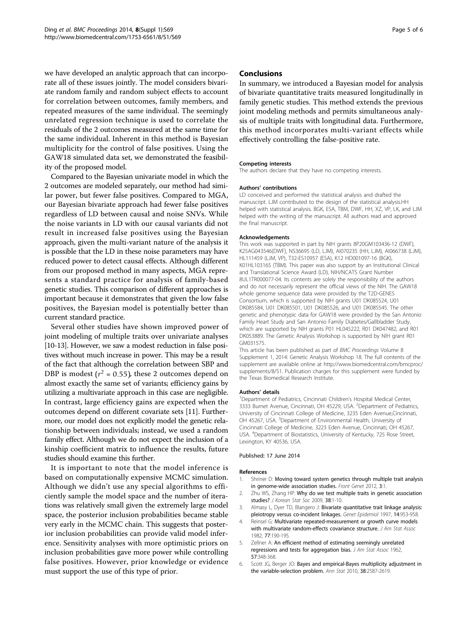<span id="page-4-0"></span>we have developed an analytic approach that can incorporate all of these issues jointly. The model considers bivariate random family and random subject effects to account for correlation between outcomes, family members, and repeated measures of the same individual. The seemingly unrelated regression technique is used to correlate the residuals of the 2 outcomes measured at the same time for the same individual. Inherent in this method is Bayesian multiplicity for the control of false positives. Using the GAW18 simulated data set, we demonstrated the feasibility of the proposed model.

Compared to the Bayesian univariate model in which the 2 outcomes are modeled separately, our method had similar power, but fewer false positives. Compared to MGA, our Bayesian bivariate approach had fewer false positives regardless of LD between causal and noise SNVs. While the noise variants in LD with our causal variants did not result in increased false positives using the Bayesian approach, given the multi-variant nature of the analysis it is possible that the LD in these noise parameters may have reduced power to detect causal effects. Although different from our proposed method in many aspects, MGA represents a standard practice for analysis of family-based genetic studies. This comparison of different approaches is important because it demonstrates that given the low false positives, the Bayesian model is potentially better than current standard practice.

Several other studies have shown improved power of joint modeling of multiple traits over univariate analyses [[10](#page-5-0)-[13](#page-5-0)]. However, we saw a modest reduction in false positives without much increase in power. This may be a result of the fact that although the correlation between SBP and DBP is modest ( $r^2$  = 0.55), these 2 outcomes depend on almost exactly the same set of variants; efficiency gains by utilizing a multivariate approach in this case are negligible. In contrast, large efficiency gains are expected when the outcomes depend on different covariate sets [\[11\]](#page-5-0). Furthermore, our model does not explicitly model the genetic relationship between individuals; instead, we used a random family effect. Although we do not expect the inclusion of a kinship coefficient matrix to influence the results, future studies should examine this further.

It is important to note that the model inference is based on computationally expensive MCMC simulation. Although we didn't use any special algorithms to efficiently sample the model space and the number of iterations was relatively small given the extremely large model space, the posterior inclusion probabilities became stable very early in the MCMC chain. This suggests that posterior inclusion probabilities can provide valid model inference. Sensitivity analyses with more optimistic priors on inclusion probabilities gave more power while controlling false positives. However, prior knowledge or evidence must support the use of this type of prior.

#### Page 5 of 6

#### Conclusions

In summary, we introduced a Bayesian model for analysis of bivariate quantitative traits measured longitudinally in family genetic studies. This method extends the previous joint modeling methods and permits simultaneous analysis of multiple traits with longitudinal data. Furthermore, this method incorporates multi-variant effects while effectively controlling the false-positive rate.

#### Competing interests

The authors declare that they have no competing interests.

#### Authors' contributions

LD conceived and performed the statistical analysis and drafted the manuscript. LJM contributed to the design of the statistical analysis.HH helped with statistical analysis. BGK, ESA, TBM, DWF, HH, XZ, VP, LK, and LJM helped with the writing of the manuscript. All authors read and approved the final manuscript.

#### Acknowledgements

This work was supported in part by NIH grants 8P20GM103436-12 (DWF), K25AG043546(DWF), NS36695 (LD, LJM), AI070235 (HH, LJM), AI066738 (LJM), HL111459 (LJM, VP), T32-ES10957 (ESA), K12 HD001097-16 (BGK), K01HL103165 (TBM). This paper was also support by an Institutional Clinical and Translational Science Award (LD), NIH/NCATS Grant Number 8UL1TR000077-04. Its contents are solely the responsibility of the authors and do not necessarily represent the official views of the NIH. The GAW18 whole genome sequence data were provided by the T2D-GENES Consortium, which is supported by NIH grants U01 DK085524, U01 DK085584, U01 DK085501, U01 DK085526, and U01 DK085545. The other genetic and phenotypic data for GAW18 were provided by the San Antonio Family Heart Study and San Antonio Family Diabetes/Gallbladder Study, which are supported by NIH grants P01 HL045222, R01 DK047482, and R01 DK053889. The Genetic Analysis Workshop is supported by NIH grant R01 GM031575.

This article has been published as part of BMC Proceedings Volume 8 Supplement 1, 2014: Genetic Analysis Workshop 18. The full contents of the supplement are available online at [http://www.biomedcentral.com/bmcproc/](http://www.biomedcentral.com/bmcproc/supplements/8/S1) [supplements/8/S1.](http://www.biomedcentral.com/bmcproc/supplements/8/S1) Publication charges for this supplement were funded by the Texas Biomedical Research Institute.

#### Authors' details <sup>1</sup>

<sup>1</sup>Department of Pediatrics, Cincinnati Children's Hospital Medical Center, 3333 Burnet Avenue, Cincinnati, OH 45229, USA. <sup>2</sup>Department of Pediatrics University of Cincinnati College of Medicine, 3235 Eden Avenue,Cincinnati, OH 45267, USA. <sup>3</sup>Department of Environmental Health, University of Cincinnati College of Medicine, 3223 Eden Avenue, Cincinnati, OH 45267, USA. <sup>4</sup>Department of Biostatistics, University of Kentucky, 725 Rose Street, Lexington, KY 40536, USA.

#### Published: 17 June 2014

#### References

- 1. Shriner D: [Moving toward system genetics through multiple trait analysis](http://www.ncbi.nlm.nih.gov/pubmed/22303408?dopt=Abstract) [in genome-wide association studies.](http://www.ncbi.nlm.nih.gov/pubmed/22303408?dopt=Abstract) Front Genet 2012, 3:1.
- 2. Zhu WS, Zhang HP: [Why do we test multiple traits in genetic association](http://www.ncbi.nlm.nih.gov/pubmed/19655045?dopt=Abstract) [studies?](http://www.ncbi.nlm.nih.gov/pubmed/19655045?dopt=Abstract) J Korean Stat Soc 2009, 38:1-10.
- 3. Almasy L, Dyer TD, Blangero J: [Bivariate quantitative trait linkage analysis:](http://www.ncbi.nlm.nih.gov/pubmed/9433606?dopt=Abstract) [pleiotropy versus co-incident linkages.](http://www.ncbi.nlm.nih.gov/pubmed/9433606?dopt=Abstract) Genet Epidemiol 1997, 14:953-958.
- 4. Reinsel G: Multivariate repeated-measurement or growth curve models with multivariate random-effects covariance structure. J Am Stat Assoc 1982, 77:190-195.
- 5. Zellner A: An efficient method of estimating seemingly unrelated regressions and tests for aggregation bias. J Am Stat Assoc 1962, 57:348-368.
- 6. Scott JG, Berger JO: Bayes and empirical-Bayes multiplicity adjustment in the variable-selection problem. Ann Stat 2010, 38:2587-2619.